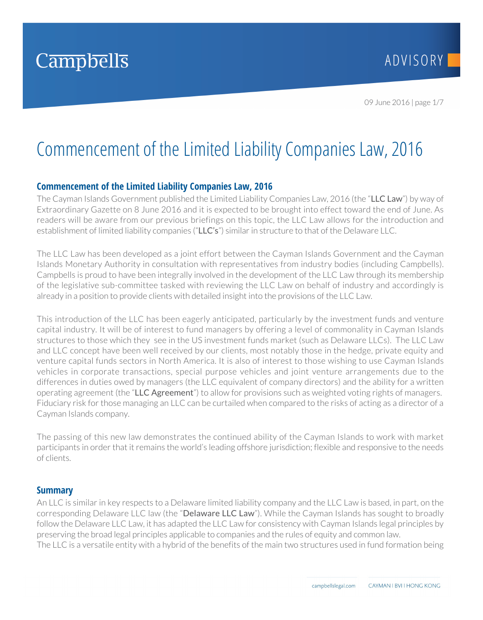# Commencement of the Limited Liability Companies Law, 2016

# **Commencement of the Limited Liability Companies Law, 2016**

The Cayman Islands Government published the Limited Liability Companies Law, 2016 (the "LLC Law") by way of Extraordinary Gazette on 8 June 2016 and it is expected to be brought into effect toward the end of June. As readers will be aware from our previous briefings on this topic, the LLC Law allows for the introduction and establishment of limited liability companies ("LLC's") similar in structure to that of the Delaware LLC.

The LLC Law has been developed as a joint effort between the Cayman Islands Government and the Cayman Islands Monetary Authority in consultation with representatives from industry bodies (including Campbells). Campbells is proud to have been integrally involved in the development of the LLC Law through its membership of the legislative sub-committee tasked with reviewing the LLC Law on behalf of industry and accordingly is already in a position to provide clients with detailed insight into the provisions of the LLC Law.

This introduction of the LLC has been eagerly anticipated, particularly by the investment funds and venture capital industry. It will be of interest to fund managers by offering a level of commonality in Cayman Islands structures to those which they see in the US investment funds market (such as Delaware LLCs). The LLC Law and LLC concept have been well received by our clients, most notably those in the hedge, private equity and venture capital funds sectors in North America. It is also of interest to those wishing to use Cayman Islands vehicles in corporate transactions, special purpose vehicles and joint venture arrangements due to the differences in duties owed by managers (the LLC equivalent of company directors) and the ability for a written operating agreement (the "LLC Agreement") to allow for provisions such as weighted voting rights of managers. Fiduciary risk for those managing an LLC can be curtailed when compared to the risks of acting as a director of a Cayman Islands company.

The passing of this new law demonstrates the continued ability of the Cayman Islands to work with market participants in order that it remains the world's leading offshore jurisdiction; flexible and responsive to the needs of clients.

## **Summary**

An LLC is similar in key respects to a Delaware limited liability company and the LLC Law is based, in part, on the corresponding Delaware LLC law (the "Delaware LLC Law"). While the Cayman Islands has sought to broadly follow the Delaware LLC Law, it has adapted the LLC Law for consistency with Cayman Islands legal principles by preserving the broad legal principles applicable to companies and the rules of equity and common law. The LLC is a versatile entity with a hybrid of the benefits of the main two structures used in fund formation being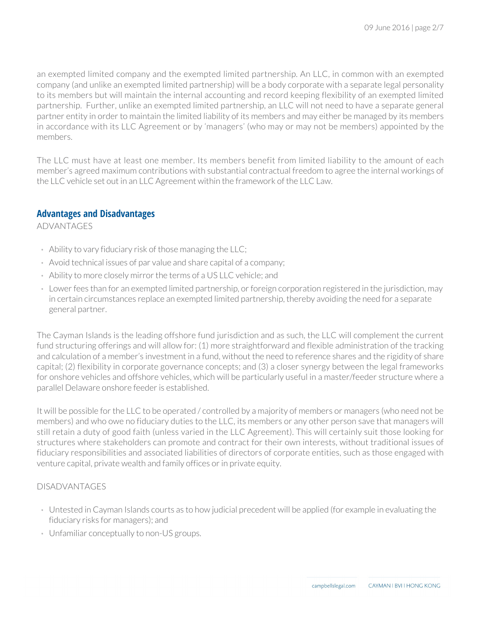an exempted limited company and the exempted limited partnership. An LLC, in common with an exempted company (and unlike an exempted limited partnership) will be a body corporate with a separate legal personality to its members but will maintain the internal accounting and record keeping flexibility of an exempted limited partnership. Further, unlike an exempted limited partnership, an LLC will not need to have a separate general partner entity in order to maintain the limited liability of its members and may either be managed by its members in accordance with its LLC Agreement or by 'managers' (who may or may not be members) appointed by the members.

The LLC must have at least one member. Its members benefit from limited liability to the amount of each member's agreed maximum contributions with substantial contractual freedom to agree the internal workings of the LLC vehicle set out in an LLC Agreement within the framework of the LLC Law.

## **Advantages and Disadvantages**

ADVANTAGES

- Ability to vary fiduciary risk of those managing the LLC;
- Avoid technical issues of par value and share capital of a company;
- Ability to more closely mirror the terms of a US LLC vehicle; and
- Lower fees than for an exempted limited partnership, or foreign corporation registered in the jurisdiction, may in certain circumstances replace an exempted limited partnership, thereby avoiding the need for a separate general partner.

The Cayman Islands is the leading offshore fund jurisdiction and as such, the LLC will complement the current fund structuring offerings and will allow for: (1) more straightforward and flexible administration of the tracking and calculation of a member's investment in a fund, without the need to reference shares and the rigidity of share capital; (2) flexibility in corporate governance concepts; and (3) a closer synergy between the legal frameworks for onshore vehicles and offshore vehicles, which will be particularly useful in a master/feeder structure where a parallel Delaware onshore feeder is established.

It will be possible for the LLC to be operated / controlled by a majority of members or managers (who need not be members) and who owe no fiduciary duties to the LLC, its members or any other person save that managers will still retain a duty of good faith (unless varied in the LLC Agreement). This will certainly suit those looking for structures where stakeholders can promote and contract for their own interests, without traditional issues of fiduciary responsibilities and associated liabilities of directors of corporate entities, such as those engaged with venture capital, private wealth and family offices or in private equity.

## DISADVANTAGES

- Untested in Cayman Islands courts as to how judicial precedent will be applied (for example in evaluating the fiduciary risks for managers); and
- Unfamiliar conceptually to non-US groups.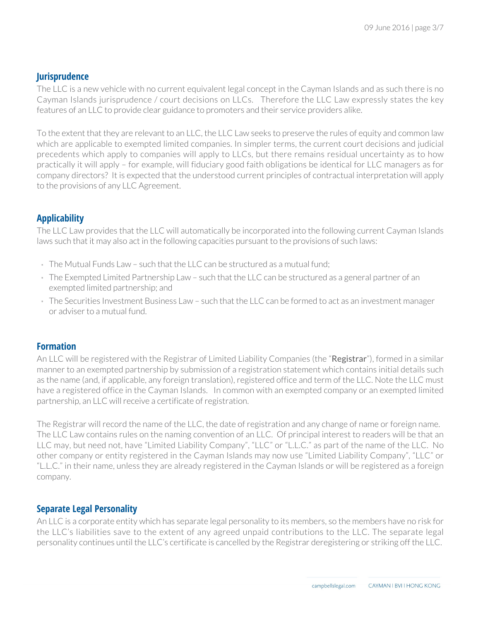## **Jurisprudence**

The LLC is a new vehicle with no current equivalent legal concept in the Cayman Islands and as such there is no Cayman Islands jurisprudence / court decisions on LLCs. Therefore the LLC Law expressly states the key features of an LLC to provide clear guidance to promoters and their service providers alike.

To the extent that they are relevant to an LLC, the LLC Law seeks to preserve the rules of equity and common law which are applicable to exempted limited companies. In simpler terms, the current court decisions and judicial precedents which apply to companies will apply to LLCs, but there remains residual uncertainty as to how practically it will apply – for example, will fiduciary good faith obligations be identical for LLC managers as for company directors? It is expected that the understood current principles of contractual interpretation will apply to the provisions of any LLC Agreement.

# **Applicability**

The LLC Law provides that the LLC will automatically be incorporated into the following current Cayman Islands laws such that it may also act in the following capacities pursuant to the provisions of such laws:

- $\cdot$  The Mutual Funds Law such that the LLC can be structured as a mutual fund:
- The Exempted Limited Partnership Law such that the LLC can be structured as a general partner of an exempted limited partnership; and
- The Securities Investment Business Law such that the LLC can be formed to act as an investment manager or adviser to a mutual fund.

## **Formation**

An LLC will be registered with the Registrar of Limited Liability Companies (the "Registrar"), formed in a similar manner to an exempted partnership by submission of a registration statement which contains initial details such as the name (and, if applicable, any foreign translation), registered office and term of the LLC. Note the LLC must have a registered office in the Cayman Islands. In common with an exempted company or an exempted limited partnership, an LLC will receive a certificate of registration.

The Registrar will record the name of the LLC, the date of registration and any change of name or foreign name. The LLC Law contains rules on the naming convention of an LLC. Of principal interest to readers will be that an LLC may, but need not, have "Limited Liability Company", "LLC" or "L.L.C." as part of the name of the LLC. No other company or entity registered in the Cayman Islands may now use "Limited Liability Company", "LLC" or "L.L.C." in their name, unless they are already registered in the Cayman Islands or will be registered as a foreign company.

## **Separate Legal Personality**

An LLC is a corporate entity which has separate legal personality to its members, so the members have no risk for the LLC's liabilities save to the extent of any agreed unpaid contributions to the LLC. The separate legal personality continues until the LLC's certificate is cancelled by the Registrar deregistering or striking off the LLC.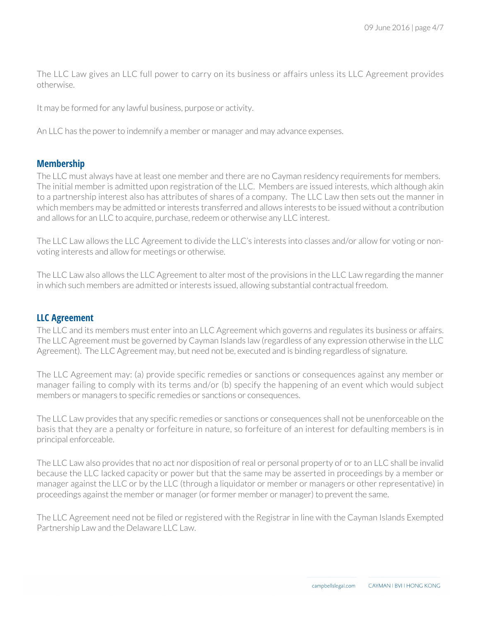The LLC Law gives an LLC full power to carry on its business or affairs unless its LLC Agreement provides otherwise.

It may be formed for any lawful business, purpose or activity.

An LLC has the power to indemnify a member or manager and may advance expenses.

## **Membership**

The LLC must always have at least one member and there are no Cayman residency requirements for members. The initial member is admitted upon registration of the LLC. Members are issued interests, which although akin to a partnership interest also has attributes of shares of a company. The LLC Law then sets out the manner in which members may be admitted or interests transferred and allows interests to be issued without a contribution and allows for an LLC to acquire, purchase, redeem or otherwise any LLC interest.

The LLC Law allows the LLC Agreement to divide the LLC's interests into classes and/or allow for voting or nonvoting interests and allow for meetings or otherwise.

The LLC Law also allows the LLC Agreement to alter most of the provisions in the LLC Law regarding the manner in which such members are admitted or interests issued, allowing substantial contractual freedom.

#### **LLC Agreement**

The LLC and its members must enter into an LLC Agreement which governs and regulates its business or affairs. The LLC Agreement must be governed by Cayman Islands law (regardless of any expression otherwise in the LLC Agreement). The LLC Agreement may, but need not be, executed and is binding regardless of signature.

The LLC Agreement may: (a) provide specific remedies or sanctions or consequences against any member or manager failing to comply with its terms and/or (b) specify the happening of an event which would subject members or managers to specific remedies or sanctions or consequences.

The LLC Law provides that any specific remedies or sanctions or consequences shall not be unenforceable on the basis that they are a penalty or forfeiture in nature, so forfeiture of an interest for defaulting members is in principal enforceable.

The LLC Law also provides that no act nor disposition of real or personal property of or to an LLC shall be invalid because the LLC lacked capacity or power but that the same may be asserted in proceedings by a member or manager against the LLC or by the LLC (through a liquidator or member or managers or other representative) in proceedings against the member or manager (or former member or manager) to prevent the same.

The LLC Agreement need not be filed or registered with the Registrar in line with the Cayman Islands Exempted Partnership Law and the Delaware LLC Law.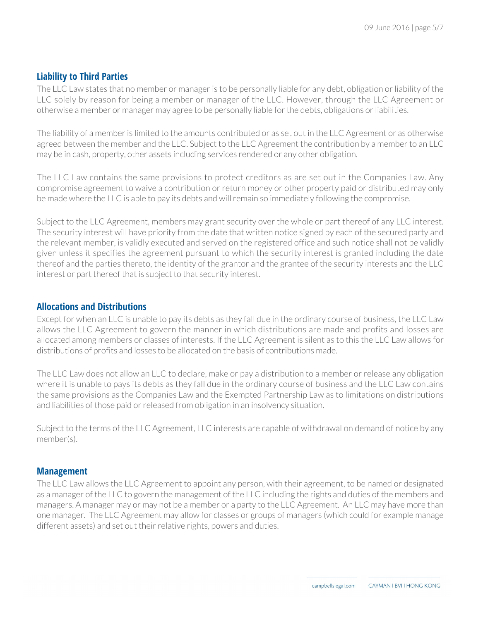## **Liability to Third Parties**

The LLC Law states that no member or manager is to be personally liable for any debt, obligation or liability of the LLC solely by reason for being a member or manager of the LLC. However, through the LLC Agreement or otherwise a member or manager may agree to be personally liable for the debts, obligations or liabilities.

The liability of a member is limited to the amounts contributed or as set out in the LLC Agreement or as otherwise agreed between the member and the LLC. Subject to the LLC Agreement the contribution by a member to an LLC may be in cash, property, other assets including services rendered or any other obligation.

The LLC Law contains the same provisions to protect creditors as are set out in the Companies Law. Any compromise agreement to waive a contribution or return money or other property paid or distributed may only be made where the LLC is able to pay its debts and will remain so immediately following the compromise.

Subject to the LLC Agreement, members may grant security over the whole or part thereof of any LLC interest. The security interest will have priority from the date that written notice signed by each of the secured party and the relevant member, is validly executed and served on the registered office and such notice shall not be validly given unless it specifies the agreement pursuant to which the security interest is granted including the date thereof and the parties thereto, the identity of the grantor and the grantee of the security interests and the LLC interest or part thereof that is subject to that security interest.

## **Allocations and Distributions**

Except for when an LLC is unable to pay its debts as they fall due in the ordinary course of business, the LLC Law allows the LLC Agreement to govern the manner in which distributions are made and profits and losses are allocated among members or classes of interests. If the LLC Agreement is silent as to this the LLC Law allows for distributions of profits and losses to be allocated on the basis of contributions made.

The LLC Law does not allow an LLC to declare, make or pay a distribution to a member or release any obligation where it is unable to pays its debts as they fall due in the ordinary course of business and the LLC Law contains the same provisions as the Companies Law and the Exempted Partnership Law as to limitations on distributions and liabilities of those paid or released from obligation in an insolvency situation.

Subject to the terms of the LLC Agreement, LLC interests are capable of withdrawal on demand of notice by any member(s).

## **Management**

The LLC Law allows the LLC Agreement to appoint any person, with their agreement, to be named or designated as a manager of the LLC to govern the management of the LLC including the rights and duties of the members and managers. A manager may or may not be a member or a party to the LLC Agreement. An LLC may have more than one manager. The LLC Agreement may allow for classes or groups of managers (which could for example manage different assets) and set out their relative rights, powers and duties.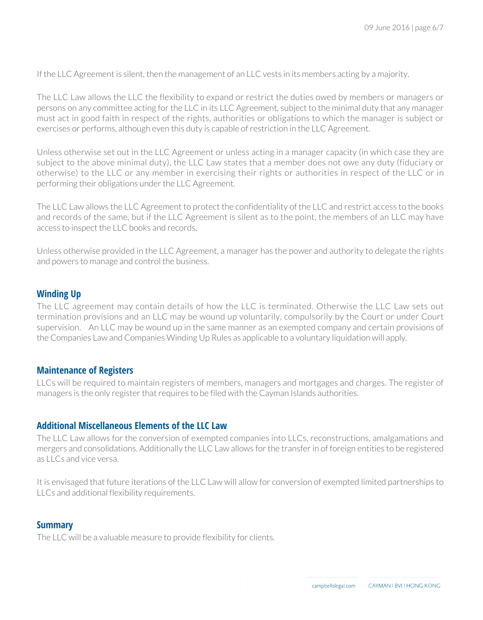If the LLC Agreement is silent, then the management of an LLC vests in its members acting by a majority.

The LLC Law allows the LLC the flexibility to expand or restrict the duties owed by members or managers or persons on any committee acting for the LLC in its LLC Agreement, subject to the minimal duty that any manager must act in good faith in respect of the rights, authorities or obligations to which the manager is subject or exercises or performs, although even this duty is capable of restriction in the LLC Agreement.

Unless otherwise set out in the LLC Agreement or unless acting in a manager capacity (in which case they are subject to the above minimal duty), the LLC Law states that a member does not owe any duty (fiduciary or otherwise) to the LLC or any member in exercising their rights or authorities in respect of the LLC or in performing their obligations under the LLC Agreement.

The LLC Law allows the LLC Agreement to protect the confidentiality of the LLC and restrict access to the books and records of the same, but if the LLC Agreement is silent as to the point, the members of an LLC may have access to inspect the LLC books and records.

Unless otherwise provided in the LLC Agreement, a manager has the power and authority to delegate the rights and powers to manage and control the business.

## **Winding Up**

The LLC agreement may contain details of how the LLC is terminated. Otherwise the LLC Law sets out termination provisions and an LLC may be wound up voluntarily, compulsorily by the Court or under Court supervision. An LLC may be wound up in the same manner as an exempted company and certain provisions of the Companies Law and Companies Winding Up Rules as applicable to a voluntary liquidation will apply.

## **Maintenance of Registers**

LLCs will be required to maintain registers of members, managers and mortgages and charges. The register of managers is the only register that requires to be filed with the Cayman Islands authorities.

#### **Additional Miscellaneous Elements of the LLC Law**

The LLC Law allows for the conversion of exempted companies into LLCs, reconstructions, amalgamations and mergers and consolidations. Additionally the LLC Law allows for the transfer in of foreign entities to be registered as LLCs and vice versa.

It is envisaged that future iterations of the LLC Law will allow for conversion of exempted limited partnerships to LLCs and additional flexibility requirements.

#### **Summary**

The LLC will be a valuable measure to provide flexibility for clients.